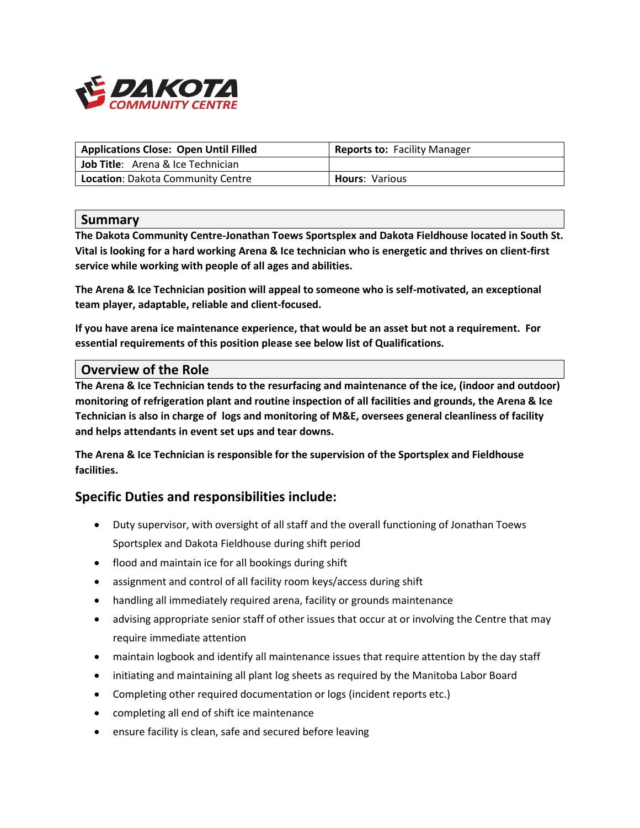

| <b>Applications Close: Open Until Filled</b> | Reports to: Facility Manager |
|----------------------------------------------|------------------------------|
| <b>Job Title:</b> Arena & Ice Technician     |                              |
| Location: Dakota Community Centre            | <b>Hours: Various</b>        |

#### **Summary**

**The Dakota Community Centre-Jonathan Toews Sportsplex and Dakota Fieldhouse located in South St. Vital is looking for a hard working Arena & Ice technician who is energetic and thrives on client-first service while working with people of all ages and abilities.**

**The Arena & Ice Technician position will appeal to someone who is self-motivated, an exceptional team player, adaptable, reliable and client-focused.** 

**If you have arena ice maintenance experience, that would be an asset but not a requirement. For essential requirements of this position please see below list of Qualifications.**

#### **Overview of the Role**

**The Arena & Ice Technician tends to the resurfacing and maintenance of the ice, (indoor and outdoor) monitoring of refrigeration plant and routine inspection of all facilities and grounds, the Arena & Ice Technician is also in charge of logs and monitoring of M&E, oversees general cleanliness of facility and helps attendants in event set ups and tear downs.** 

**The Arena & Ice Technician is responsible for the supervision of the Sportsplex and Fieldhouse facilities.**

## **Specific Duties and responsibilities include:**

- Duty supervisor, with oversight of all staff and the overall functioning of Jonathan Toews Sportsplex and Dakota Fieldhouse during shift period
- flood and maintain ice for all bookings during shift
- assignment and control of all facility room keys/access during shift
- handling all immediately required arena, facility or grounds maintenance
- advising appropriate senior staff of other issues that occur at or involving the Centre that may require immediate attention
- maintain logbook and identify all maintenance issues that require attention by the day staff
- initiating and maintaining all plant log sheets as required by the Manitoba Labor Board
- Completing other required documentation or logs (incident reports etc.)
- completing all end of shift ice maintenance
- ensure facility is clean, safe and secured before leaving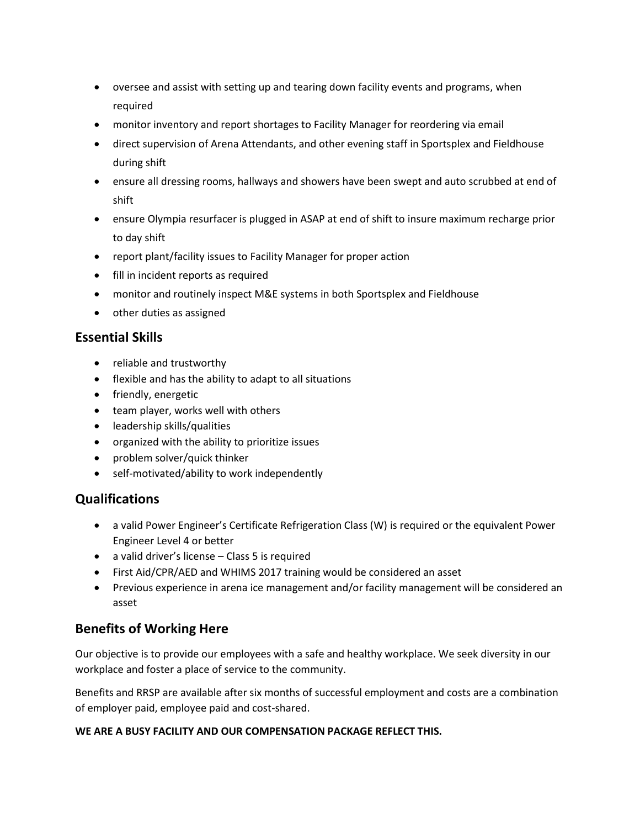- oversee and assist with setting up and tearing down facility events and programs, when required
- monitor inventory and report shortages to Facility Manager for reordering via email
- direct supervision of Arena Attendants, and other evening staff in Sportsplex and Fieldhouse during shift
- ensure all dressing rooms, hallways and showers have been swept and auto scrubbed at end of shift
- ensure Olympia resurfacer is plugged in ASAP at end of shift to insure maximum recharge prior to day shift
- report plant/facility issues to Facility Manager for proper action
- fill in incident reports as required
- monitor and routinely inspect M&E systems in both Sportsplex and Fieldhouse
- other duties as assigned

#### **Essential Skills**

- reliable and trustworthy
- flexible and has the ability to adapt to all situations
- friendly, energetic
- team player, works well with others
- leadership skills/qualities
- organized with the ability to prioritize issues
- problem solver/quick thinker
- self-motivated/ability to work independently

## **Qualifications**

- a valid Power Engineer's Certificate Refrigeration Class (W) is required or the equivalent Power Engineer Level 4 or better
- a valid driver's license Class 5 is required
- First Aid/CPR/AED and WHIMS 2017 training would be considered an asset
- Previous experience in arena ice management and/or facility management will be considered an asset

# **Benefits of Working Here**

Our objective is to provide our employees with a safe and healthy workplace. We seek diversity in our workplace and foster a place of service to the community.

Benefits and RRSP are available after six months of successful employment and costs are a combination of employer paid, employee paid and cost-shared.

#### **WE ARE A BUSY FACILITY AND OUR COMPENSATION PACKAGE REFLECT THIS.**